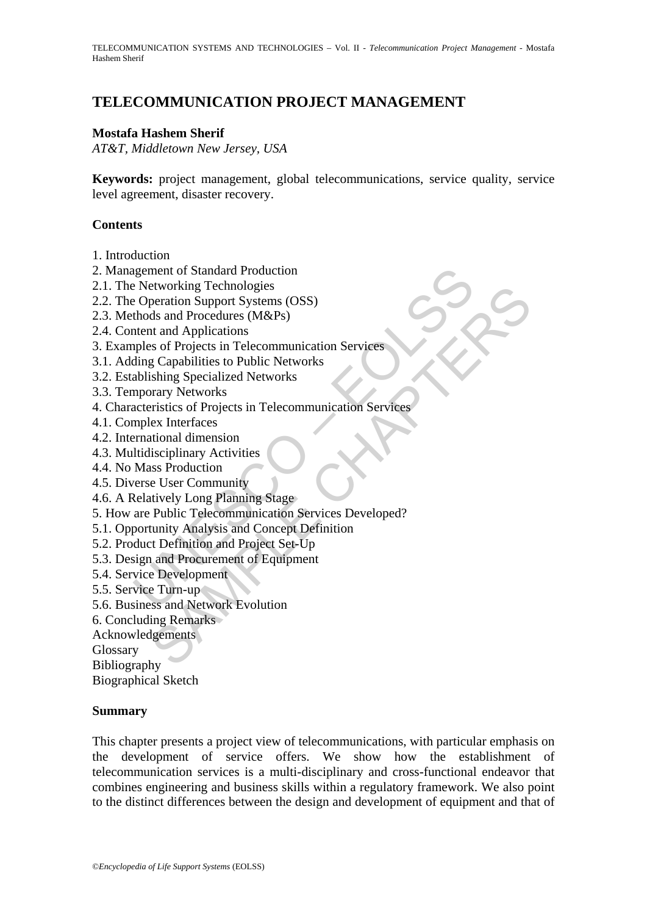# **TELECOMMUNICATION PROJECT MANAGEMENT**

# **Mostafa Hashem Sherif**

*AT&T, Middletown New Jersey, USA* 

**Keywords:** project management, global telecommunications, service quality, service level agreement, disaster recovery.

#### **Contents**

- 1. Introduction
- 2. Management of Standard Production
- 2.1. The Networking Technologies
- 2.2. The Operation Support Systems (OSS)
- 2.3. Methods and Procedures (M&Ps)
- 2.4. Content and Applications
- 3. Examples of Projects in Telecommunication Services
- 3.1. Adding Capabilities to Public Networks
- 3.2. Establishing Specialized Networks
- 3.3. Temporary Networks
- 4. Characteristics of Projects in Telecommunication Services
- 4.1. Complex Interfaces
- 4.2. International dimension
- 4.3. Multidisciplinary Activities
- 4.4. No Mass Production
- 4.5. Diverse User Community
- 4.6. A Relatively Long Planning Stage
- ignement of Standard Production<br>
Soleration Support Systems (OSS)<br>
Coperation Support Systems (OSS)<br>
thods and Procedures (M&Ps)<br>
thent and Applications<br>
phelic Mechanism<br>
procedures of Projects in Telecommunication Servic Evero King Technologies<br>
eneration Support Systems (OSS)<br>
ds and Procedures (M&Ps)<br>
t and Applications<br>
and Applications<br>
and Applications<br>
of Crapistics to Public Networks<br>
shigh gone claimed Networks<br>
stars therefaces<br>
e 5. How are Public Telecommunication Services Developed?
- 5.1. Opportunity Analysis and Concept Definition
- 5.2. Product Definition and Project Set-Up
- 5.3. Design and Procurement of Equipment
- 5.4. Service Development
- 5.5. Service Turn-up
- 5.6. Business and Network Evolution
- 6. Concluding Remarks
- Acknowledgements

Glossary

Bibliography

Biographical Sketch

#### **Summary**

This chapter presents a project view of telecommunications, with particular emphasis on the development of service offers. We show how the establishment of telecommunication services is a multi-disciplinary and cross-functional endeavor that combines engineering and business skills within a regulatory framework. We also point to the distinct differences between the design and development of equipment and that of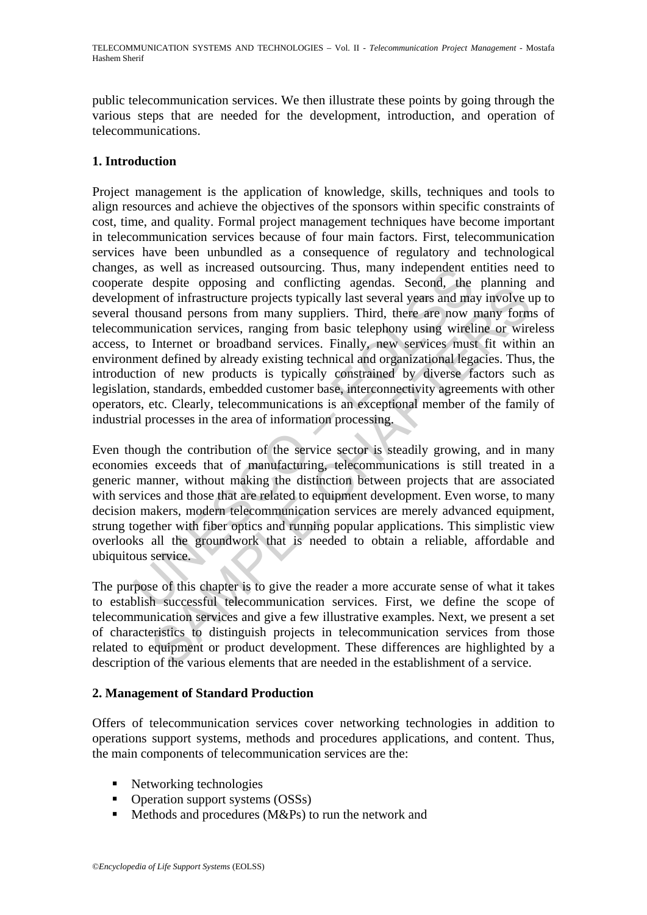public telecommunication services. We then illustrate these points by going through the various steps that are needed for the development, introduction, and operation of telecommunications.

# **1. Introduction**

is, as well as increased outsourcing. Thus, many independent et despite opposing and conflicting agendas. Second, the dentited ment of infrastructure projects typically last several years and mathousand persons from many s despite of possing and columeing agenous. Second, the paraming that of infrastructure projects typically last several years and pay involve us<br>and privation services, ranging from basic telephony using wireline or wire<br>inc Project management is the application of knowledge, skills, techniques and tools to align resources and achieve the objectives of the sponsors within specific constraints of cost, time, and quality. Formal project management techniques have become important in telecommunication services because of four main factors. First, telecommunication services have been unbundled as a consequence of regulatory and technological changes, as well as increased outsourcing. Thus, many independent entities need to cooperate despite opposing and conflicting agendas. Second, the planning and development of infrastructure projects typically last several years and may involve up to several thousand persons from many suppliers. Third, there are now many forms of telecommunication services, ranging from basic telephony using wireline or wireless access, to Internet or broadband services. Finally, new services must fit within an environment defined by already existing technical and organizational legacies. Thus, the introduction of new products is typically constrained by diverse factors such as legislation, standards, embedded customer base, interconnectivity agreements with other operators, etc. Clearly, telecommunications is an exceptional member of the family of industrial processes in the area of information processing.

Even though the contribution of the service sector is steadily growing, and in many economies exceeds that of manufacturing, telecommunications is still treated in a generic manner, without making the distinction between projects that are associated with services and those that are related to equipment development. Even worse, to many decision makers, modern telecommunication services are merely advanced equipment, strung together with fiber optics and running popular applications. This simplistic view overlooks all the groundwork that is needed to obtain a reliable, affordable and ubiquitous service.

The purpose of this chapter is to give the reader a more accurate sense of what it takes to establish successful telecommunication services. First, we define the scope of telecommunication services and give a few illustrative examples. Next, we present a set of characteristics to distinguish projects in telecommunication services from those related to equipment or product development. These differences are highlighted by a description of the various elements that are needed in the establishment of a service.

# **2. Management of Standard Production**

Offers of telecommunication services cover networking technologies in addition to operations support systems, methods and procedures applications, and content. Thus, the main components of telecommunication services are the:

- Networking technologies
- Operation support systems (OSSs)
- $\blacksquare$  Methods and procedures (M&Ps) to run the network and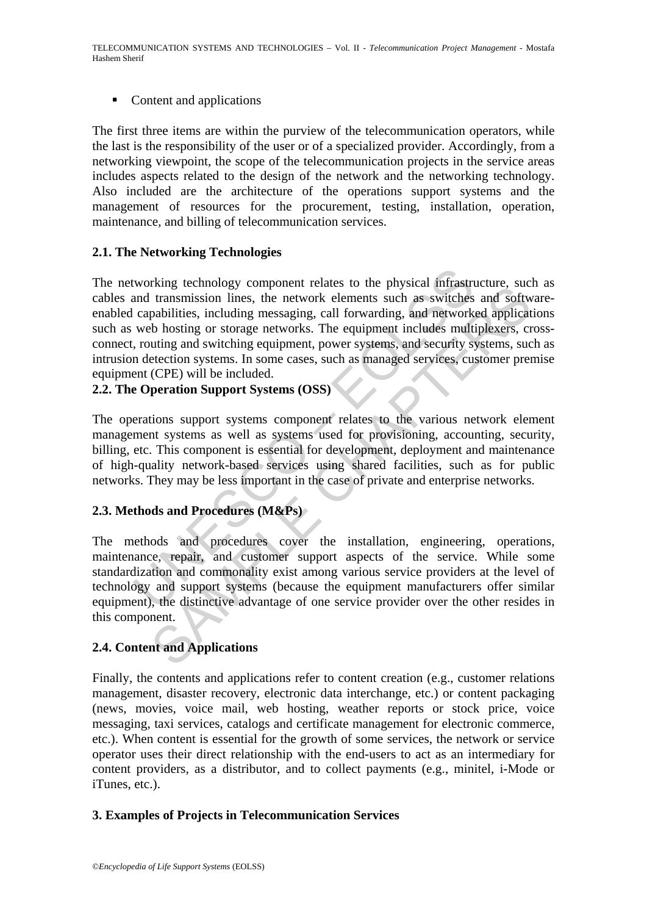# • Content and applications

The first three items are within the purview of the telecommunication operators, while the last is the responsibility of the user or of a specialized provider. Accordingly, from a networking viewpoint, the scope of the telecommunication projects in the service areas includes aspects related to the design of the network and the networking technology. Also included are the architecture of the operations support systems and the management of resources for the procurement, testing, installation, operation, maintenance, and billing of telecommunication services.

# **2.1. The Networking Technologies**

working technology component relates to the physical infrastm<br>and transmission lines, the network elements such as switches<br>capabilities, including messaging, call forwarding, and network<br>web hosting or storage networks. T Example conclude the term of the massimum transmission lines, the network elements such as switches and softward<br>transmission lines, the network elements such as switches and softward<br>pabilities, including messaging, call The networking technology component relates to the physical infrastructure, such as cables and transmission lines, the network elements such as switches and softwareenabled capabilities, including messaging, call forwarding, and networked applications such as web hosting or storage networks. The equipment includes multiplexers, crossconnect, routing and switching equipment, power systems, and security systems, such as intrusion detection systems. In some cases, such as managed services, customer premise equipment (CPE) will be included.

# **2.2. The Operation Support Systems (OSS)**

The operations support systems component relates to the various network element management systems as well as systems used for provisioning, accounting, security, billing, etc. This component is essential for development, deployment and maintenance of high-quality network-based services using shared facilities, such as for public networks. They may be less important in the case of private and enterprise networks.

# **2.3. Methods and Procedures (M&Ps)**

The methods and procedures cover the installation, engineering, operations, maintenance, repair, and customer support aspects of the service. While some standardization and commonality exist among various service providers at the level of technology and support systems (because the equipment manufacturers offer similar equipment), the distinctive advantage of one service provider over the other resides in this component.

# **2.4. Content and Applications**

Finally, the contents and applications refer to content creation (e.g., customer relations management, disaster recovery, electronic data interchange, etc.) or content packaging (news, movies, voice mail, web hosting, weather reports or stock price, voice messaging, taxi services, catalogs and certificate management for electronic commerce, etc.). When content is essential for the growth of some services, the network or service operator uses their direct relationship with the end-users to act as an intermediary for content providers, as a distributor, and to collect payments (e.g., minitel, i-Mode or iTunes, etc.).

# **3. Examples of Projects in Telecommunication Services**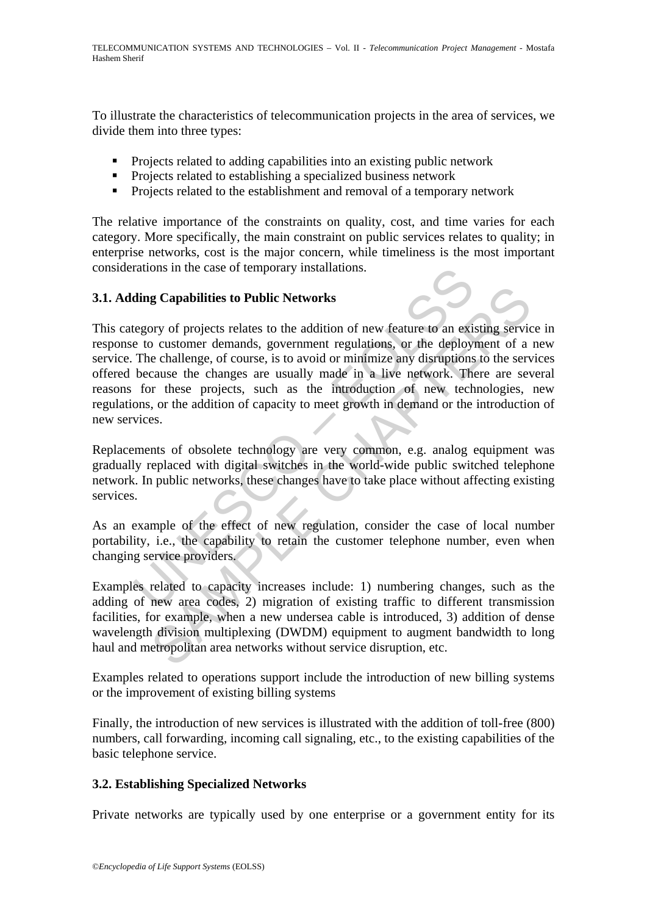To illustrate the characteristics of telecommunication projects in the area of services, we divide them into three types:

- **Projects related to adding capabilities into an existing public network**
- **Projects related to establishing a specialized business network**
- **Projects related to the establishment and removal of a temporary network**

The relative importance of the constraints on quality, cost, and time varies for each category. More specifically, the main constraint on public services relates to quality; in enterprise networks, cost is the major concern, while timeliness is the most important considerations in the case of temporary installations.

# **3.1. Adding Capabilities to Public Networks**

rations in the case of temporary installations.<br>
ding Capabilities to Public Networks<br>
tegory of projects relates to the addition of new feature to an existence<br>
to customer demands, government regulations, or the deploy<br> **g Capabilities to Public Networks**<br>sory of projects relates to the addition of new feature to an existing service<br>or customer demands, government regulations, or the deployment of a<br>e challenge, of course, is to avoid or This category of projects relates to the addition of new feature to an existing service in response to customer demands, government regulations, or the deployment of a new service. The challenge, of course, is to avoid or minimize any disruptions to the services offered because the changes are usually made in a live network. There are several reasons for these projects, such as the introduction of new technologies, new regulations, or the addition of capacity to meet growth in demand or the introduction of new services.

Replacements of obsolete technology are very common, e.g. analog equipment was gradually replaced with digital switches in the world-wide public switched telephone network. In public networks, these changes have to take place without affecting existing services.

As an example of the effect of new regulation, consider the case of local number portability, i.e., the capability to retain the customer telephone number, even when changing service providers.

Examples related to capacity increases include: 1) numbering changes, such as the adding of new area codes, 2) migration of existing traffic to different transmission facilities, for example, when a new undersea cable is introduced, 3) addition of dense wavelength division multiplexing (DWDM) equipment to augment bandwidth to long haul and metropolitan area networks without service disruption, etc.

Examples related to operations support include the introduction of new billing systems or the improvement of existing billing systems

Finally, the introduction of new services is illustrated with the addition of toll-free (800) numbers, call forwarding, incoming call signaling, etc., to the existing capabilities of the basic telephone service.

# **3.2. Establishing Specialized Networks**

Private networks are typically used by one enterprise or a government entity for its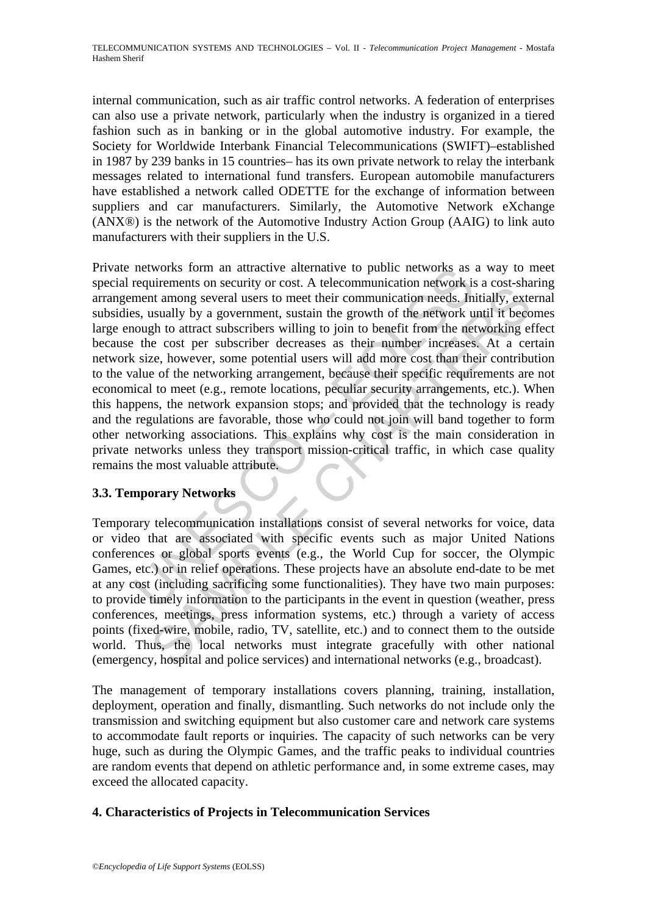internal communication, such as air traffic control networks. A federation of enterprises can also use a private network, particularly when the industry is organized in a tiered fashion such as in banking or in the global automotive industry. For example, the Society for Worldwide Interbank Financial Telecommunications (SWIFT)–established in 1987 by 239 banks in 15 countries– has its own private network to relay the interbank messages related to international fund transfers. European automobile manufacturers have established a network called ODETTE for the exchange of information between suppliers and car manufacturers. Similarly, the Automotive Network eXchange (ANX®) is the network of the Automotive Industry Action Group (AAIG) to link auto manufacturers with their suppliers in the U.S.

networks form an attractive alternative to public networks as<br>requirements on security or cost. A telecommunication network is<br>given them and several users to meet their communication needs. In<br>set, usually by a government incuring in scocially of cost. A recectionimization incores is a cost-saint annong several users to met their communication needs. Initially, extending the contract subscribers willing to join to benefit from the network u Private networks form an attractive alternative to public networks as a way to meet special requirements on security or cost. A telecommunication network is a cost-sharing arrangement among several users to meet their communication needs. Initially, external subsidies, usually by a government, sustain the growth of the network until it becomes large enough to attract subscribers willing to join to benefit from the networking effect because the cost per subscriber decreases as their number increases. At a certain network size, however, some potential users will add more cost than their contribution to the value of the networking arrangement, because their specific requirements are not economical to meet (e.g., remote locations, peculiar security arrangements, etc.). When this happens, the network expansion stops; and provided that the technology is ready and the regulations are favorable, those who could not join will band together to form other networking associations. This explains why cost is the main consideration in private networks unless they transport mission-critical traffic, in which case quality remains the most valuable attribute.

# **3.3. Temporary Networks**

Temporary telecommunication installations consist of several networks for voice, data or video that are associated with specific events such as major United Nations conferences or global sports events (e.g., the World Cup for soccer, the Olympic Games, etc.) or in relief operations. These projects have an absolute end-date to be met at any cost (including sacrificing some functionalities). They have two main purposes: to provide timely information to the participants in the event in question (weather, press conferences, meetings, press information systems, etc.) through a variety of access points (fixed-wire, mobile, radio, TV, satellite, etc.) and to connect them to the outside world. Thus, the local networks must integrate gracefully with other national (emergency, hospital and police services) and international networks (e.g., broadcast).

The management of temporary installations covers planning, training, installation, deployment, operation and finally, dismantling. Such networks do not include only the transmission and switching equipment but also customer care and network care systems to accommodate fault reports or inquiries. The capacity of such networks can be very huge, such as during the Olympic Games, and the traffic peaks to individual countries are random events that depend on athletic performance and, in some extreme cases, may exceed the allocated capacity.

# **4. Characteristics of Projects in Telecommunication Services**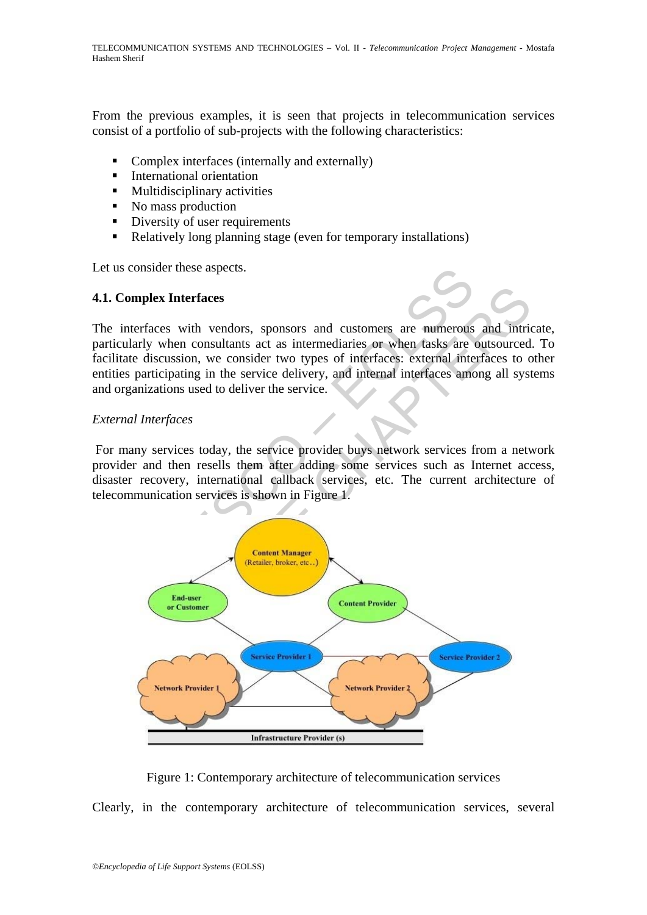From the previous examples, it is seen that projects in telecommunication services consist of a portfolio of sub-projects with the following characteristics:

- Complex interfaces (internally and externally)
- **International orientation**
- **Multidisciplinary activities**
- No mass production
- Diversity of user requirements
- Relatively long planning stage (even for temporary installations)

Let us consider these aspects.

#### **4.1. Complex Interfaces**

The interfaces with vendors, sponsors and customers are numerous and intricate, particularly when consultants act as intermediaries or when tasks are outsourced. To facilitate discussion, we consider two types of interfaces: external interfaces to other entities participating in the service delivery, and internal interfaces among all systems and organizations used to deliver the service.

#### *External Interfaces*

 For many services today, the service provider buys network services from a network provider and then resells them after adding some services such as Internet access, disaster recovery, international callback services, etc. The current architecture of telecommunication services is shown in Figure 1.



Figure 1: Contemporary architecture of telecommunication services

Clearly, in the contemporary architecture of telecommunication services, several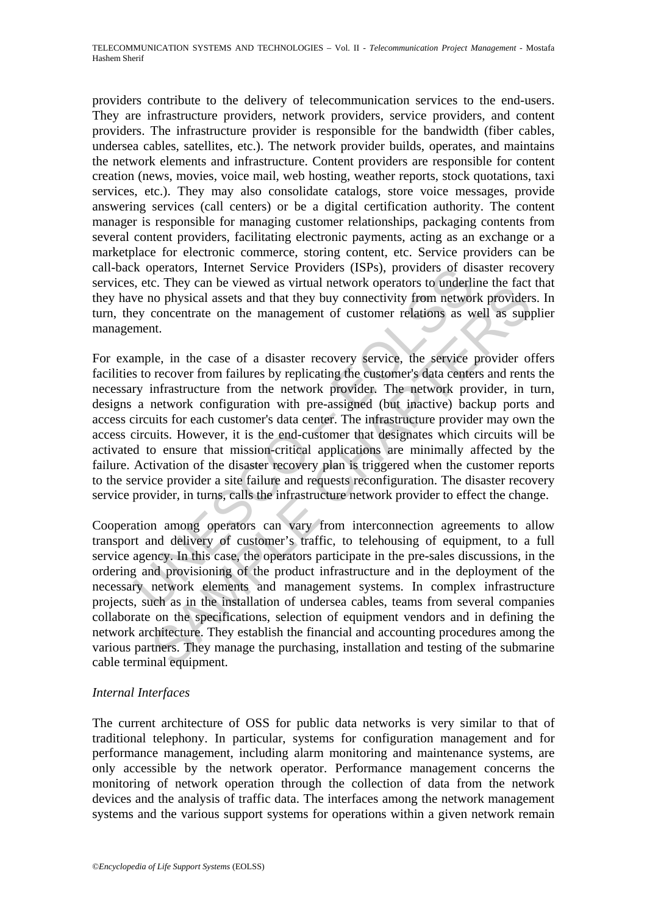providers contribute to the delivery of telecommunication services to the end-users. They are infrastructure providers, network providers, service providers, and content providers. The infrastructure provider is responsible for the bandwidth (fiber cables, undersea cables, satellites, etc.). The network provider builds, operates, and maintains the network elements and infrastructure. Content providers are responsible for content creation (news, movies, voice mail, web hosting, weather reports, stock quotations, taxi services, etc.). They may also consolidate catalogs, store voice messages, provide answering services (call centers) or be a digital certification authority. The content manager is responsible for managing customer relationships, packaging contents from several content providers, facilitating electronic payments, acting as an exchange or a marketplace for electronic commerce, storing content, etc. Service providers can be call-back operators, Internet Service Providers (ISPs), providers of disaster recovery services, etc. They can be viewed as virtual network operators to underline the fact that they have no physical assets and that they buy connectivity from network providers. In turn, they concentrate on the management of customer relations as well as supplier management.

K operators, internet Service Providers (ISPs), providers of distance and the circle can be viewed as virtual network operators to underlive to concentrate on the management of customer relations as we no physical assets a E. They eat of viewed as vintal network operators to underline rate.<br>The properties and that they by connectivity from network provider<br>concentrate on the management of customer relations as well as supplit.<br>He, in the ca For example, in the case of a disaster recovery service, the service provider offers facilities to recover from failures by replicating the customer's data centers and rents the necessary infrastructure from the network provider. The network provider, in turn, designs a network configuration with pre-assigned (but inactive) backup ports and access circuits for each customer's data center. The infrastructure provider may own the access circuits. However, it is the end-customer that designates which circuits will be activated to ensure that mission-critical applications are minimally affected by the failure. Activation of the disaster recovery plan is triggered when the customer reports to the service provider a site failure and requests reconfiguration. The disaster recovery service provider, in turns, calls the infrastructure network provider to effect the change.

Cooperation among operators can vary from interconnection agreements to allow transport and delivery of customer's traffic, to telehousing of equipment, to a full service agency. In this case, the operators participate in the pre-sales discussions, in the ordering and provisioning of the product infrastructure and in the deployment of the necessary network elements and management systems. In complex infrastructure projects, such as in the installation of undersea cables, teams from several companies collaborate on the specifications, selection of equipment vendors and in defining the network architecture. They establish the financial and accounting procedures among the various partners. They manage the purchasing, installation and testing of the submarine cable terminal equipment.

# *Internal Interfaces*

The current architecture of OSS for public data networks is very similar to that of traditional telephony. In particular, systems for configuration management and for performance management, including alarm monitoring and maintenance systems, are only accessible by the network operator. Performance management concerns the monitoring of network operation through the collection of data from the network devices and the analysis of traffic data. The interfaces among the network management systems and the various support systems for operations within a given network remain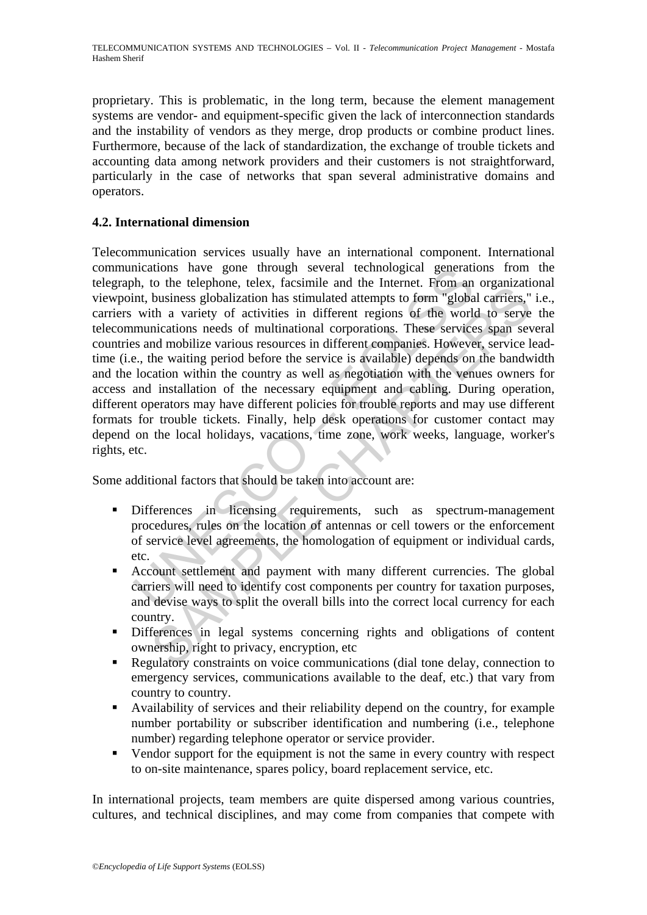proprietary. This is problematic, in the long term, because the element management systems are vendor- and equipment-specific given the lack of interconnection standards and the instability of vendors as they merge, drop products or combine product lines. Furthermore, because of the lack of standardization, the exchange of trouble tickets and accounting data among network providers and their customers is not straightforward, particularly in the case of networks that span several administrative domains and operators.

# **4.2. International dimension**

nications have gone through several technological generation, to the telephone, telex, facsimile and the literent. From an<br>int, business globalization has stimulated attempts to form "globa<br>with a variety of activities in of an eurephone, etca, ratsmine and uncertate. From an organizant<br>business globalization has stimulated attempts to form "global carriers,"<br>th a variety of activities in different regions of the world to serve<br>incations ne Telecommunication services usually have an international component. International communications have gone through several technological generations from the telegraph, to the telephone, telex, facsimile and the Internet. From an organizational viewpoint, business globalization has stimulated attempts to form "global carriers," i.e., carriers with a variety of activities in different regions of the world to serve the telecommunications needs of multinational corporations. These services span several countries and mobilize various resources in different companies. However, service leadtime (i.e., the waiting period before the service is available) depends on the bandwidth and the location within the country as well as negotiation with the venues owners for access and installation of the necessary equipment and cabling. During operation, different operators may have different policies for trouble reports and may use different formats for trouble tickets. Finally, help desk operations for customer contact may depend on the local holidays, vacations, time zone, work weeks, language, worker's rights, etc.

Some additional factors that should be taken into account are:

- Differences in licensing requirements, such as spectrum-management procedures, rules on the location of antennas or cell towers or the enforcement of service level agreements, the homologation of equipment or individual cards, etc.
- Account settlement and payment with many different currencies. The global carriers will need to identify cost components per country for taxation purposes, and devise ways to split the overall bills into the correct local currency for each country.
- Differences in legal systems concerning rights and obligations of content ownership, right to privacy, encryption, etc
- Regulatory constraints on voice communications (dial tone delay, connection to emergency services, communications available to the deaf, etc.) that vary from country to country.
- Availability of services and their reliability depend on the country, for example number portability or subscriber identification and numbering (i.e., telephone number) regarding telephone operator or service provider.
- Vendor support for the equipment is not the same in every country with respect to on-site maintenance, spares policy, board replacement service, etc.

In international projects, team members are quite dispersed among various countries, cultures, and technical disciplines, and may come from companies that compete with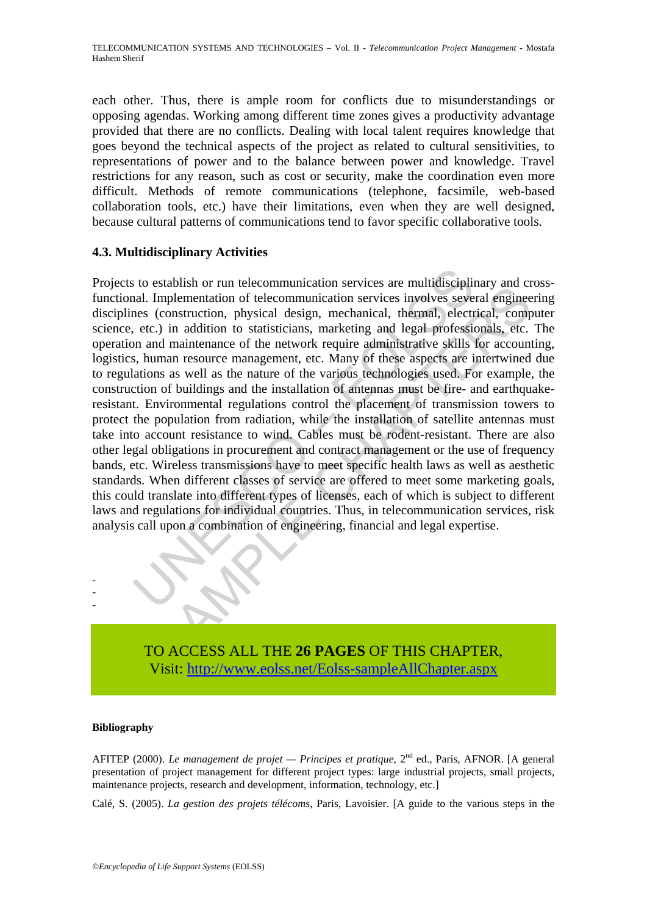each other. Thus, there is ample room for conflicts due to misunderstandings or opposing agendas. Working among different time zones gives a productivity advantage provided that there are no conflicts. Dealing with local talent requires knowledge that goes beyond the technical aspects of the project as related to cultural sensitivities, to representations of power and to the balance between power and knowledge. Travel restrictions for any reason, such as cost or security, make the coordination even more difficult. Methods of remote communications (telephone, facsimile, web-based collaboration tools, etc.) have their limitations, even when they are well designed, because cultural patterns of communications tend to favor specific collaborative tools.

# **4.3. Multidisciplinary Activities**

to establish or run telecommunication services are multidisciplinal. Implementation of telecommunication services involves seven ense (construction, physical design, mechanical, thermal, electre etc.) in addition to statis Exaction of ratification services are intentational and complementation of telecommunication services involves several enginee<br>(construction, physical design, mechanical, thermal, electrical, comp<br>c.) in addition to stati Projects to establish or run telecommunication services are multidisciplinary and crossfunctional. Implementation of telecommunication services involves several engineering disciplines (construction, physical design, mechanical, thermal, electrical, computer science, etc.) in addition to statisticians, marketing and legal professionals, etc. The operation and maintenance of the network require administrative skills for accounting, logistics, human resource management, etc. Many of these aspects are intertwined due to regulations as well as the nature of the various technologies used. For example, the construction of buildings and the installation of antennas must be fire- and earthquakeresistant. Environmental regulations control the placement of transmission towers to protect the population from radiation, while the installation of satellite antennas must take into account resistance to wind. Cables must be rodent-resistant. There are also other legal obligations in procurement and contract management or the use of frequency bands, etc. Wireless transmissions have to meet specific health laws as well as aesthetic standards. When different classes of service are offered to meet some marketing goals, this could translate into different types of licenses, each of which is subject to different laws and regulations for individual countries. Thus, in telecommunication services, risk analysis call upon a combination of engineering, financial and legal expertise.



#### **Bibliography**

- - -

AFITEP (2000). *Le management de projet — Principes et pratique*, 2<sup>nd</sup> ed., Paris, AFNOR. [A general] presentation of project management for different project types: large industrial projects, small projects, maintenance projects, research and development, information, technology, etc.]

Calé, S. (2005). *La gestion des projets télécoms*, Paris, Lavoisier. [A guide to the various steps in the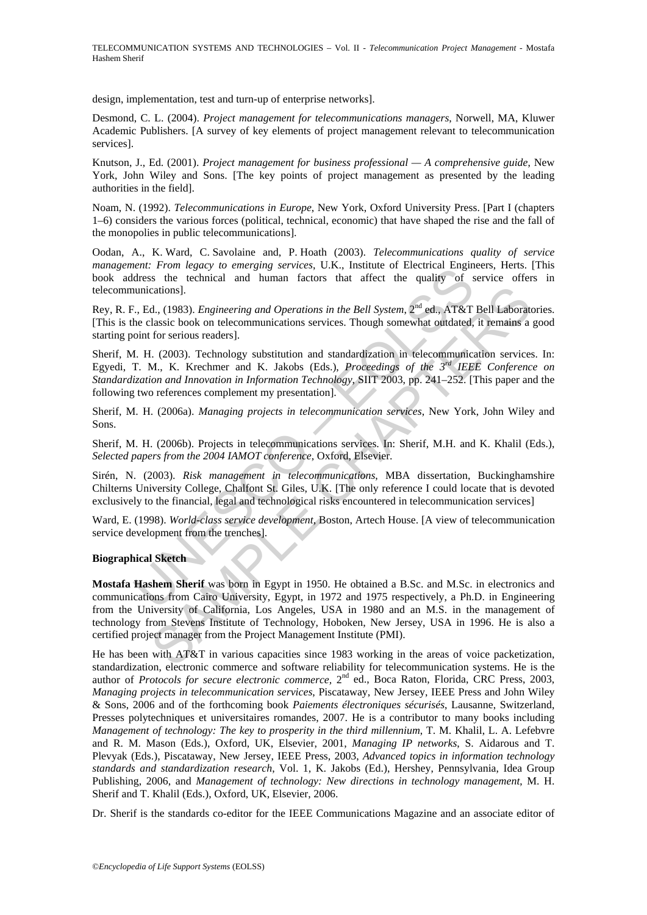design, implementation, test and turn-up of enterprise networks].

Desmond, C. L. (2004). *Project management for telecommunications managers*, Norwell, MA, Kluwer Academic Publishers. [A survey of key elements of project management relevant to telecommunication services].

Knutson, J., Ed. (2001). *Project management for business professional — A comprehensive guide*, New York, John Wiley and Sons. [The key points of project management as presented by the leading authorities in the field].

Noam, N. (1992). *Telecommunications in Europe*, New York, Oxford University Press. [Part I (chapters 1–6) considers the various forces (political, technical, economic) that have shaped the rise and the fall of the monopolies in public telecommunications].

Oodan, A., K. Ward, C. Savolaine and, P. Hoath (2003). *Telecommunications quality of service management: From legacy to emerging services*, U.K., Institute of Electrical Engineers, Herts. [This book address the technical and human factors that affect the quality of service offers in telecommunications].

Rey, R. F., Ed., (1983). *Engineering and Operations in the Bell System*, 2<sup>nd</sup> ed., AT&T Bell Laboratories. [This is the classic book on telecommunications services. Though somewhat outdated, it remains a good starting point for serious readers].

Lett. From tegaty to emerging services, U.S., instanted the quality of services and services in the Bell System,  $2^{\text{nd}}$  ed., AT&T unications].<br>
Reses the technical and human factors that affect the quality of sumicatio Sherif, M. H. (2003). Technology substitution and standardization in telecommunication services. In: Egyedi, T. M., K. Krechmer and K. Jakobs (Eds.), *Proceedings of the 3rd IEEE Conference on Standardization and Innovation in Information Technology*, SIIT 2003, pp. 241–252. [This paper and the following two references complement my presentation].

Sherif, M. H. (2006a). *Managing projects in telecommunication services*, New York, John Wiley and Sons.

Sherif, M. H. (2006b). Projects in telecommunications services. In: Sherif, M.H. and K. Khalil (Eds.), *Selected papers from the 2004 IAMOT conference*, Oxford, Elsevier.

Sirén, N. (2003). *Risk management in telecommunications*, MBA dissertation, Buckinghamshire Chilterns University College, Chalfont St. Giles, U.K. [The only reference I could locate that is devoted exclusively to the financial, legal and technological risks encountered in telecommunication services]

Ward, E. (1998). *World-class service development*, Boston, Artech House. [A view of telecommunication service development from the trenches].

#### **Biographical Sketch**

cations].<br>
ad., (1983). *Engineering and Operations in the Bell System*,  $2^{\text{nd}}$  ed., AT&T Bell Laboratization starts chook on telecommunications services. Though somewhat outdated, it remains a lor serious readers].<br>
L. **Mostafa Hashem Sherif** was born in Egypt in 1950. He obtained a B.Sc. and M.Sc. in electronics and communications from Cairo University, Egypt, in 1972 and 1975 respectively, a Ph.D. in Engineering from the University of California, Los Angeles, USA in 1980 and an M.S. in the management of technology from Stevens Institute of Technology, Hoboken, New Jersey, USA in 1996. He is also a certified project manager from the Project Management Institute (PMI).

He has been with AT&T in various capacities since 1983 working in the areas of voice packetization, standardization, electronic commerce and software reliability for telecommunication systems. He is the author of *Protocols for secure electronic commerce,* 2nd ed., Boca Raton, Florida, CRC Press, 2003, *Managing projects in telecommunication services*, Piscataway, New Jersey, IEEE Press and John Wiley & Sons, 2006 and of the forthcoming book *Paiements électroniques sécurisés*, Lausanne, Switzerland, Presses polytechniques et universitaires romandes, 2007. He is a contributor to many books including *Management of technology: The key to prosperity in the third millennium*, T. M. Khalil, L. A. Lefebvre and R. M. Mason (Eds.), Oxford, UK, Elsevier, 2001, *Managing IP networks*, S. Aidarous and T. Plevyak (Eds.), Piscataway, New Jersey, IEEE Press, 2003, *Advanced topics in information technology standards and standardization research*, Vol. 1, K. Jakobs (Ed.), Hershey, Pennsylvania, Idea Group Publishing, 2006, and *Management of technology: New directions in technology management*, M. H. Sherif and T. Khalil (Eds.), Oxford, UK, Elsevier, 2006.

Dr. Sherif is the standards co-editor for the IEEE Communications Magazine and an associate editor of